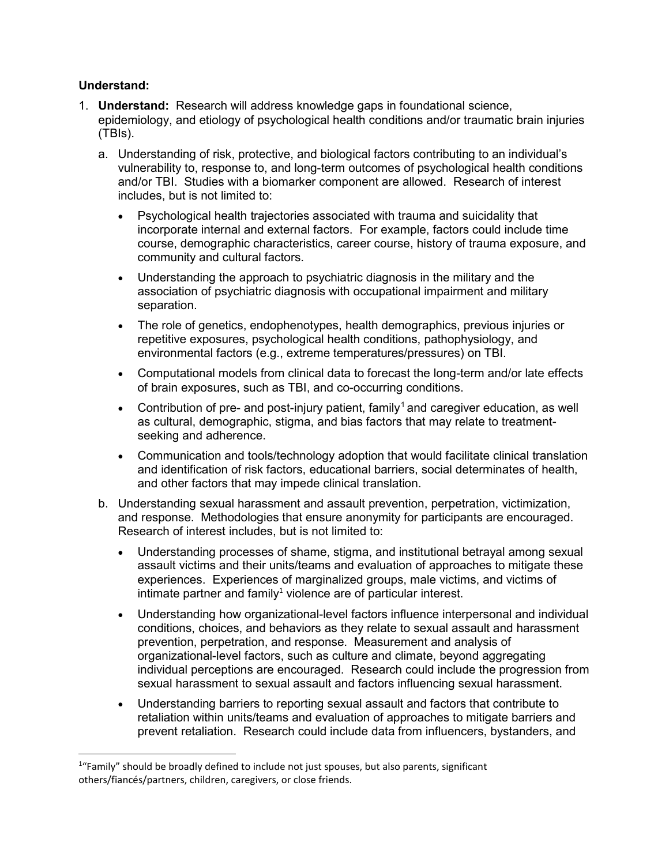## **Understand:**

- <span id="page-0-0"></span>1. **Understand:** Research will address knowledge gaps in foundational science, epidemiology, and etiology of psychological health conditions and/or traumatic brain injuries (TBIs).
	- a. Understanding of risk, protective, and biological factors contributing to an individual's vulnerability to, response to, and long-term outcomes of psychological health conditions and/or TBI. Studies with a biomarker component are allowed. Research of interest includes, but is not limited to:
		- Psychological health trajectories associated with trauma and suicidality that incorporate internal and external factors. For example, factors could include time course, demographic characteristics, career course, history of trauma exposure, and community and cultural factors.
		- Understanding the approach to psychiatric diagnosis in the military and the association of psychiatric diagnosis with occupational impairment and military separation.
		- The role of genetics, endophenotypes, health demographics, previous injuries or repetitive exposures, psychological health conditions, pathophysiology, and environmental factors (e.g., extreme temperatures/pressures) on TBI.
		- Computational models from clinical data to forecast the long-term and/or late effects of brain exposures, such as TBI, and co-occurring conditions.
		- Contribution of pre- and post-injury patient, family<sup>[1](#page-0-1)</sup> and caregiver education, as well as cultural, demographic, stigma, and bias factors that may relate to treatmentseeking and adherence.
		- Communication and tools/technology adoption that would facilitate clinical translation and identification of risk factors, educational barriers, social determinates of health, and other factors that may impede clinical translation.
	- b. Understanding sexual harassment and assault prevention, perpetration, victimization, and response. Methodologies that ensure anonymity for participants are encouraged. Research of interest includes, but is not limited to:
		- Understanding processes of shame, stigma, and institutional betrayal among sexual assault victims and their units/teams and evaluation of approaches to mitigate these experiences. Experiences of marginalized groups, male victims, and victims of intimate partner and famil[y](#page-0-0)<sup>1</sup> violence are of particular interest.
		- Understanding how organizational-level factors influence interpersonal and individual conditions, choices, and behaviors as they relate to sexual assault and harassment prevention, perpetration, and response. Measurement and analysis of organizational-level factors, such as culture and climate, beyond aggregating individual perceptions are encouraged. Research could include the progression from sexual harassment to sexual assault and factors influencing sexual harassment.
		- Understanding barriers to reporting sexual assault and factors that contribute to retaliation within units/teams and evaluation of approaches to mitigate barriers and prevent retaliation. Research could include data from influencers, bystanders, and

<span id="page-0-1"></span> $\frac{1}{1}$  $1\textdegree$  Family" should be broadly defined to include not just spouses, but also parents, significant others/fiancés/partners, children, caregivers, or close friends.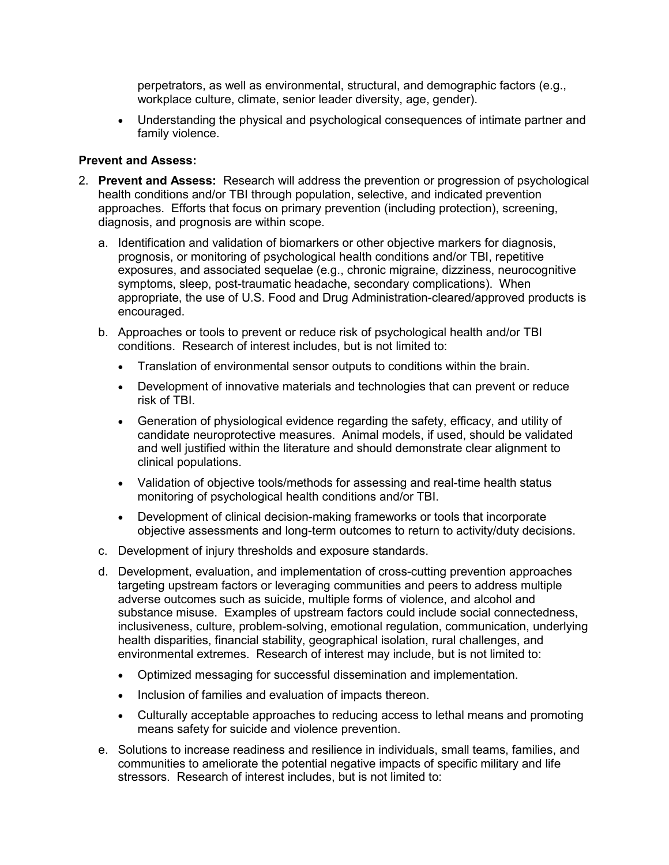perpetrators, as well as environmental, structural, and demographic factors (e.g., workplace culture, climate, senior leader diversity, age, gender).

• Understanding the physical and psychological consequences of intimate partner and family violence.

## **Prevent and Assess:**

- 2. **Prevent and Assess:** Research will address the prevention or progression of psychological health conditions and/or TBI through population, selective, and indicated prevention approaches. Efforts that focus on primary prevention (including protection), screening, diagnosis, and prognosis are within scope.
	- a. Identification and validation of biomarkers or other objective markers for diagnosis, prognosis, or monitoring of psychological health conditions and/or TBI, repetitive exposures, and associated sequelae (e.g., chronic migraine, dizziness, neurocognitive symptoms, sleep, post-traumatic headache, secondary complications). When appropriate, the use of U.S. Food and Drug Administration-cleared/approved products is encouraged.
	- b. Approaches or tools to prevent or reduce risk of psychological health and/or TBI conditions. Research of interest includes, but is not limited to:
		- Translation of environmental sensor outputs to conditions within the brain.
		- Development of innovative materials and technologies that can prevent or reduce risk of TBI.
		- Generation of physiological evidence regarding the safety, efficacy, and utility of candidate neuroprotective measures. Animal models, if used, should be validated and well justified within the literature and should demonstrate clear alignment to clinical populations.
		- Validation of objective tools/methods for assessing and real-time health status monitoring of psychological health conditions and/or TBI.
		- Development of clinical decision-making frameworks or tools that incorporate objective assessments and long-term outcomes to return to activity/duty decisions.
	- c. Development of injury thresholds and exposure standards.
	- d. Development, evaluation, and implementation of cross-cutting prevention approaches targeting upstream factors or leveraging communities and peers to address multiple adverse outcomes such as suicide, multiple forms of violence, and alcohol and substance misuse. Examples of upstream factors could include social connectedness, inclusiveness, culture, problem-solving, emotional regulation, communication, underlying health disparities, financial stability, geographical isolation, rural challenges, and environmental extremes. Research of interest may include, but is not limited to:
		- Optimized messaging for successful dissemination and implementation.
		- Inclusion of families and evaluation of impacts thereon.
		- Culturally acceptable approaches to reducing access to lethal means and promoting means safety for suicide and violence prevention.
	- e. Solutions to increase readiness and resilience in individuals, small teams, families, and communities to ameliorate the potential negative impacts of specific military and life stressors. Research of interest includes, but is not limited to: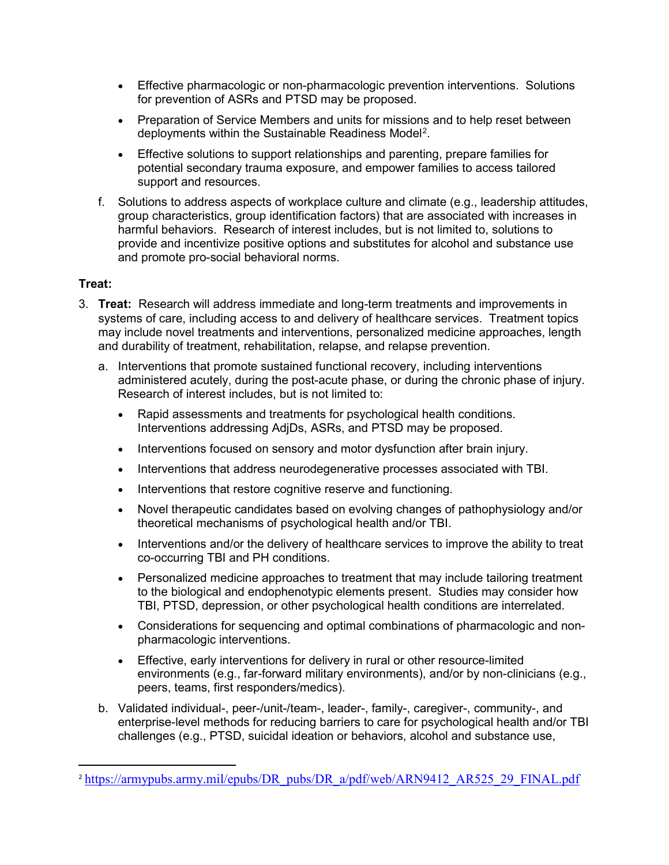- Effective pharmacologic or non-pharmacologic prevention interventions. Solutions for prevention of ASRs and PTSD may be proposed.
- Preparation of Service Members and units for missions and to help reset between deployments within the Sustainable Readiness Model<sup>[2](#page-2-0)</sup>.
- Effective solutions to support relationships and parenting, prepare families for potential secondary trauma exposure, and empower families to access tailored support and resources.
- f. Solutions to address aspects of workplace culture and climate (e.g., leadership attitudes, group characteristics, group identification factors) that are associated with increases in harmful behaviors. Research of interest includes, but is not limited to, solutions to provide and incentivize positive options and substitutes for alcohol and substance use and promote pro-social behavioral norms.

## **Treat:**

- 3. **Treat:** Research will address immediate and long-term treatments and improvements in systems of care, including access to and delivery of healthcare services. Treatment topics may include novel treatments and interventions, personalized medicine approaches, length and durability of treatment, rehabilitation, relapse, and relapse prevention.
	- a. Interventions that promote sustained functional recovery, including interventions administered acutely, during the post-acute phase, or during the chronic phase of injury. Research of interest includes, but is not limited to:
		- Rapid assessments and treatments for psychological health conditions. Interventions addressing AdjDs, ASRs, and PTSD may be proposed.
		- Interventions focused on sensory and motor dysfunction after brain injury.
		- Interventions that address neurodegenerative processes associated with TBI.
		- Interventions that restore cognitive reserve and functioning.
		- Novel therapeutic candidates based on evolving changes of pathophysiology and/or theoretical mechanisms of psychological health and/or TBI.
		- Interventions and/or the delivery of healthcare services to improve the ability to treat co-occurring TBI and PH conditions.
		- Personalized medicine approaches to treatment that may include tailoring treatment to the biological and endophenotypic elements present. Studies may consider how TBI, PTSD, depression, or other psychological health conditions are interrelated.
		- Considerations for sequencing and optimal combinations of pharmacologic and nonpharmacologic interventions.
		- Effective, early interventions for delivery in rural or other resource-limited environments (e.g., far-forward military environments), and/or by non-clinicians (e.g., peers, teams, first responders/medics).
	- b. Validated individual-, peer-/unit-/team-, leader-, family-, caregiver-, community-, and enterprise-level methods for reducing barriers to care for psychological health and/or TBI challenges (e.g., PTSD, suicidal ideation or behaviors, alcohol and substance use,

<span id="page-2-0"></span><sup>&</sup>lt;sup>2</sup> [https://armypubs.army.mil/epubs/DR\\_pubs/DR\\_a/pdf/web/ARN9412\\_AR525\\_29\\_FINAL.pdf](https://armypubs.army.mil/epubs/DR_pubs/DR_a/pdf/web/ARN9412_AR525_29_FINAL.pdf)